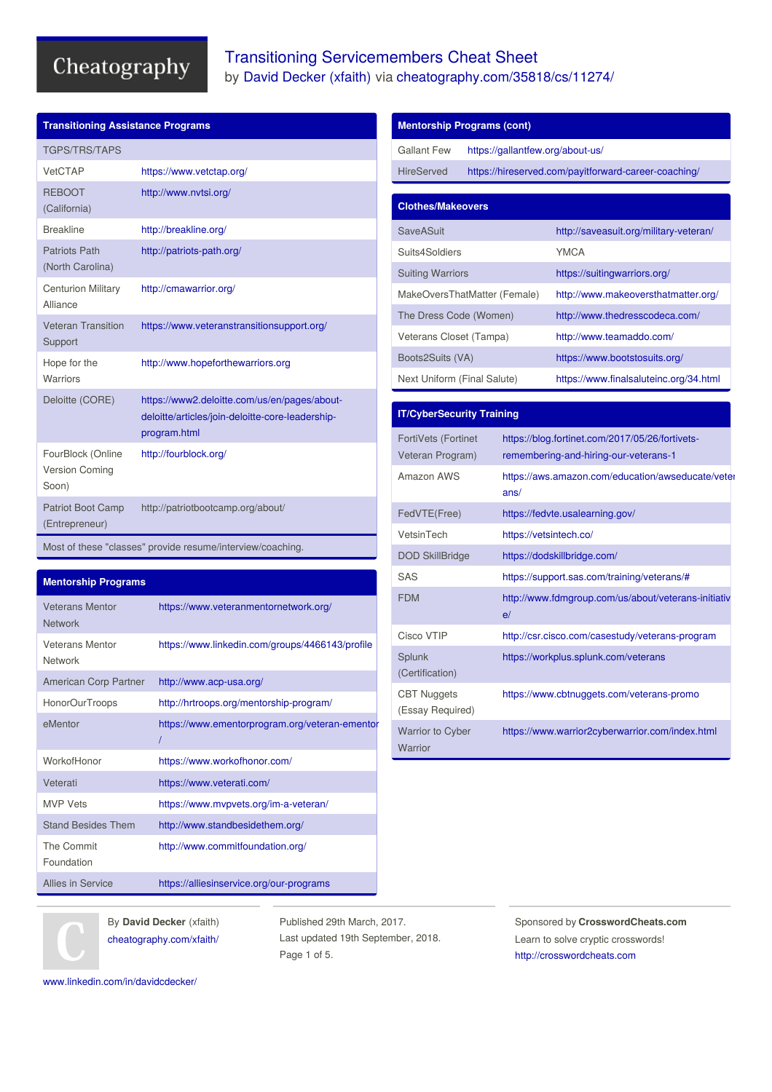## Transitioning Servicemembers Cheat Sheet by David [Decker](http://www.cheatography.com/xfaith/) (xfaith) via [cheatography.com/35818/cs/11274/](http://www.cheatography.com/xfaith/cheat-sheets/transitioning-servicemembers)

| <b>Transitioning Assistance Programs</b>                   |                                                                                                                  |  |
|------------------------------------------------------------|------------------------------------------------------------------------------------------------------------------|--|
| <b>TGPS/TRS/TAPS</b>                                       |                                                                                                                  |  |
| VetCTAP                                                    | https://www.vetctap.org/                                                                                         |  |
| <b>REBOOT</b><br>(California)                              | http://www.nvtsi.org/                                                                                            |  |
| <b>Breakline</b>                                           | http://breakline.org/                                                                                            |  |
| <b>Patriots Path</b><br>(North Carolina)                   | http://patriots-path.org/                                                                                        |  |
| <b>Centurion Military</b><br>Alliance                      | http://cmawarrior.org/                                                                                           |  |
| <b>Veteran Transition</b><br>Support                       | https://www.veteranstransitionsupport.org/                                                                       |  |
| Hope for the<br>Warriors                                   | http://www.hopeforthewarriors.org                                                                                |  |
| Deloitte (CORE)                                            | https://www2.deloitte.com/us/en/pages/about-<br>deloitte/articles/join-deloitte-core-leadership-<br>program.html |  |
| FourBlock (Online<br><b>Version Coming</b><br>Soon)        | http://fourblock.org/                                                                                            |  |
| <b>Patriot Boot Camp</b><br>(Entrepreneur)                 | http://patriotbootcamp.org/about/                                                                                |  |
| Most of these "classes" provide resume/interview/coaching. |                                                                                                                  |  |

### **Mentorship Programs**

| <b>Veterans Mentor</b><br><b>Network</b> | https://www.veteranmentornetwork.org/           |
|------------------------------------------|-------------------------------------------------|
| <b>Veterans Mentor</b><br><b>Network</b> | https://www.linkedin.com/groups/4466143/profile |
| American Corp Partner                    | http://www.acp-usa.org/                         |
| HonorOurTroops                           | http://hrtroops.org/mentorship-program/         |
| eMentor                                  | https://www.ementorprogram.org/veteran-ementor  |
| WorkofHonor                              | https://www.workofhonor.com/                    |
| Veterati                                 | https://www.veterati.com/                       |
| <b>MVP Vets</b>                          | https://www.mvpvets.org/im-a-veteran/           |
| <b>Stand Besides Them</b>                | http://www.standbesidethem.org/                 |
| The Commit<br>Foundation                 | http://www.commitfoundation.org/                |
| Allies in Service                        | https://alliesinservice.org/our-programs        |

### **Mentorship Programs (cont)**

| Gallant Few                  | https://gallantfew.org/about-us/ |                                                      |
|------------------------------|----------------------------------|------------------------------------------------------|
| <b>HireServed</b>            |                                  | https://hireserved.com/payitforward-career-coaching/ |
|                              |                                  |                                                      |
| <b>Clothes/Makeovers</b>     |                                  |                                                      |
| SaveASuit                    |                                  | http://saveasuit.org/military-veteran/               |
| Suits4Soldiers               |                                  | YMCA                                                 |
| <b>Suiting Warriors</b>      |                                  | https://suitingwarriors.org/                         |
| MakeOversThatMatter (Female) |                                  | http://www.makeoversthatmatter.org/                  |
| The Dress Code (Women)       |                                  | http://www.thedresscodeca.com/                       |
| Veterans Closet (Tampa)      |                                  | http://www.teamaddo.com/                             |
| Boots2Suits (VA)             |                                  | https://www.bootstosuits.org/                        |
| Next Uniform (Final Salute)  |                                  | https://www.finalsaluteinc.org/34.html               |

| <b>IT/CyberSecurity Training</b>               |                                                                                          |
|------------------------------------------------|------------------------------------------------------------------------------------------|
| <b>FortiVets (Fortinet</b><br>Veteran Program) | https://blog.fortinet.com/2017/05/26/fortivets-<br>remembering-and-hiring-our-veterans-1 |
| Amazon AWS                                     | https://aws.amazon.com/education/awseducate/veter<br>ans/                                |
| FedVTE(Free)                                   | https://fedvte.usalearning.gov/                                                          |
| VetsinTech                                     | https://vetsintech.co/                                                                   |
| <b>DOD SkillBridge</b>                         | https://dodskillbridge.com/                                                              |
| SAS                                            | https://support.sas.com/training/veterans/#                                              |
| <b>FDM</b>                                     | http://www.fdmgroup.com/us/about/veterans-initiativ<br>e/                                |
| Cisco VTIP                                     | http://csr.cisco.com/casestudy/veterans-program                                          |
| Splunk<br>(Certification)                      | https://workplus.splunk.com/veterans                                                     |
| <b>CBT Nuggets</b><br>(Essay Required)         | https://www.cbtnuggets.com/veterans-promo                                                |
| <b>Warrior to Cyber</b><br>Warrior             | https://www.warrior2cyberwarrior.com/index.html                                          |

By **David Decker** (xfaith) [cheatography.com/xfaith/](http://www.cheatography.com/xfaith/)

Published 29th March, 2017. Last updated 19th September, 2018. Page 1 of 5.

Sponsored by **CrosswordCheats.com** Learn to solve cryptic crosswords! <http://crosswordcheats.com>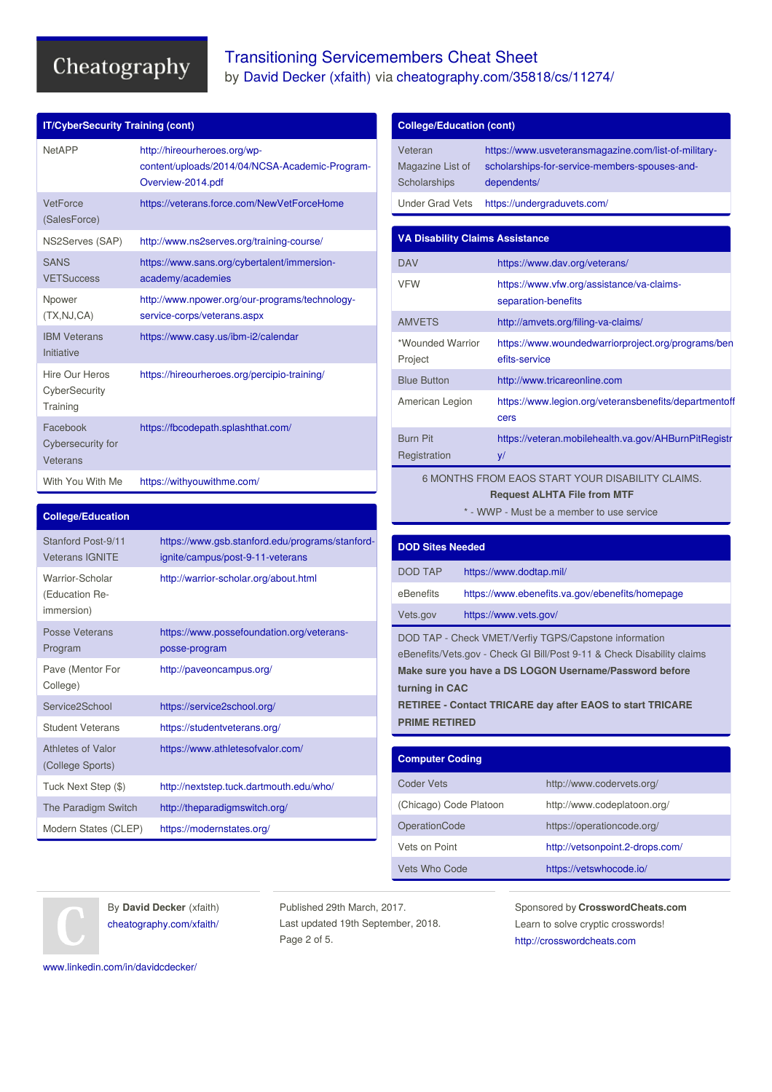## Transitioning Servicemembers Cheat Sheet by David [Decker](http://www.cheatography.com/xfaith/) (xfaith) via [cheatography.com/35818/cs/11274/](http://www.cheatography.com/xfaith/cheat-sheets/transitioning-servicemembers)

| <b>IT/CyberSecurity Training (cont)</b>     |                                                                                                     |
|---------------------------------------------|-----------------------------------------------------------------------------------------------------|
| <b>NetAPP</b>                               | http://hireourheroes.org/wp-<br>content/uploads/2014/04/NCSA-Academic-Program-<br>Overview-2014.pdf |
| VetForce<br>(SalesForce)                    | https://veterans.force.com/NewVetForceHome                                                          |
| NS2Serves (SAP)                             | http://www.ns2serves.org/training-course/                                                           |
| <b>SANS</b><br><b>VETSuccess</b>            | https://www.sans.org/cybertalent/immersion-<br>academy/academies                                    |
| Npower<br>(TX,NJ,CA)                        | http://www.npower.org/our-programs/technology-<br>service-corps/veterans.aspx                       |
| <b>IBM Veterans</b><br>Initiative           | https://www.casy.us/ibm-i2/calendar                                                                 |
| Hire Our Heros<br>CyberSecurity<br>Training | https://hireourheroes.org/percipio-training/                                                        |
| Facebook<br>Cybersecurity for<br>Veterans   | https://fbcodepath.splashthat.com/                                                                  |
| With You With Me                            | https://withyouwithme.com/                                                                          |

#### **College/Education**

| Stanford Post-9/11<br><b>Veterans IGNITE</b>    | https://www.gsb.stanford.edu/programs/stanford-<br>ignite/campus/post-9-11-veterans |
|-------------------------------------------------|-------------------------------------------------------------------------------------|
| Warrior-Scholar<br>(Education Re-<br>immersion) | http://warrior-scholar.org/about.html                                               |
| Posse Veterans<br>Program                       | https://www.possefoundation.org/veterans-<br>posse-program                          |
| Pave (Mentor For<br>College)                    | http://paveoncampus.org/                                                            |
| Service2School                                  | https://service2school.org/                                                         |
| <b>Student Veterans</b>                         | https://studentveterans.org/                                                        |
| Athletes of Valor<br>(College Sports)           | https://www.athletesofvalor.com/                                                    |
| Tuck Next Step (\$)                             | http://nextstep.tuck.dartmouth.edu/who/                                             |
| The Paradigm Switch                             | http://theparadigmswitch.org/                                                       |
| Modern States (CLEP)                            | https://modernstates.org/                                                           |

| Veteran<br>https://www.usveteransmagazine.com/list-of-military-<br>Magazine List of<br>scholarships-for-service-members-spouses-and-<br>Scholarships<br>dependents/<br><b>Under Grad Vets</b><br>https://undergraduvets.com/<br><b>VA Disability Claims Assistance</b><br><b>DAV</b><br>https://www.dav.org/veterans/<br><b>VFW</b><br>https://www.vfw.org/assistance/va-claims-<br>separation-benefits<br><b>AMVETS</b><br>http://amvets.org/filing-va-claims/<br>*Wounded Warrior<br>https://www.woundedwarriorproject.org/programs/ben<br>efits-service<br>Project<br><b>Blue Button</b><br>http://www.tricareonline.com<br>American Legion<br>https://www.legion.org/veteransbenefits/departmentoff<br>cers<br><b>Burn Pit</b><br>https://veteran.mobilehealth.va.gov/AHBurnPitRegistr<br>Registration<br>y/<br><b>Request ALHTA File from MTF</b><br>* - WWP - Must be a member to use service<br><b>DOD Sites Needed</b><br><b>DOD TAP</b><br>https://www.dodtap.mil/<br>eBenefits<br>Vets.gov<br>https://www.vets.gov/<br>turning in CAC | <b>College/Education (cont)</b>                  |  |  |
|-------------------------------------------------------------------------------------------------------------------------------------------------------------------------------------------------------------------------------------------------------------------------------------------------------------------------------------------------------------------------------------------------------------------------------------------------------------------------------------------------------------------------------------------------------------------------------------------------------------------------------------------------------------------------------------------------------------------------------------------------------------------------------------------------------------------------------------------------------------------------------------------------------------------------------------------------------------------------------------------------------------------------------------------------|--------------------------------------------------|--|--|
|                                                                                                                                                                                                                                                                                                                                                                                                                                                                                                                                                                                                                                                                                                                                                                                                                                                                                                                                                                                                                                                 |                                                  |  |  |
|                                                                                                                                                                                                                                                                                                                                                                                                                                                                                                                                                                                                                                                                                                                                                                                                                                                                                                                                                                                                                                                 |                                                  |  |  |
|                                                                                                                                                                                                                                                                                                                                                                                                                                                                                                                                                                                                                                                                                                                                                                                                                                                                                                                                                                                                                                                 |                                                  |  |  |
|                                                                                                                                                                                                                                                                                                                                                                                                                                                                                                                                                                                                                                                                                                                                                                                                                                                                                                                                                                                                                                                 |                                                  |  |  |
|                                                                                                                                                                                                                                                                                                                                                                                                                                                                                                                                                                                                                                                                                                                                                                                                                                                                                                                                                                                                                                                 |                                                  |  |  |
|                                                                                                                                                                                                                                                                                                                                                                                                                                                                                                                                                                                                                                                                                                                                                                                                                                                                                                                                                                                                                                                 |                                                  |  |  |
|                                                                                                                                                                                                                                                                                                                                                                                                                                                                                                                                                                                                                                                                                                                                                                                                                                                                                                                                                                                                                                                 |                                                  |  |  |
|                                                                                                                                                                                                                                                                                                                                                                                                                                                                                                                                                                                                                                                                                                                                                                                                                                                                                                                                                                                                                                                 |                                                  |  |  |
|                                                                                                                                                                                                                                                                                                                                                                                                                                                                                                                                                                                                                                                                                                                                                                                                                                                                                                                                                                                                                                                 |                                                  |  |  |
|                                                                                                                                                                                                                                                                                                                                                                                                                                                                                                                                                                                                                                                                                                                                                                                                                                                                                                                                                                                                                                                 |                                                  |  |  |
|                                                                                                                                                                                                                                                                                                                                                                                                                                                                                                                                                                                                                                                                                                                                                                                                                                                                                                                                                                                                                                                 | 6 MONTHS FROM EAOS START YOUR DISABILITY CLAIMS. |  |  |
|                                                                                                                                                                                                                                                                                                                                                                                                                                                                                                                                                                                                                                                                                                                                                                                                                                                                                                                                                                                                                                                 |                                                  |  |  |
|                                                                                                                                                                                                                                                                                                                                                                                                                                                                                                                                                                                                                                                                                                                                                                                                                                                                                                                                                                                                                                                 |                                                  |  |  |
|                                                                                                                                                                                                                                                                                                                                                                                                                                                                                                                                                                                                                                                                                                                                                                                                                                                                                                                                                                                                                                                 |                                                  |  |  |
|                                                                                                                                                                                                                                                                                                                                                                                                                                                                                                                                                                                                                                                                                                                                                                                                                                                                                                                                                                                                                                                 | https://www.ebenefits.va.gov/ebenefits/homepage  |  |  |
|                                                                                                                                                                                                                                                                                                                                                                                                                                                                                                                                                                                                                                                                                                                                                                                                                                                                                                                                                                                                                                                 |                                                  |  |  |
| DOD TAP - Check VMET/Verfiy TGPS/Capstone information<br>eBenefits/Vets.gov - Check GI Bill/Post 9-11 & Check Disability claims<br>Make sure you have a DS LOGON Username/Password before<br>RETIREE - Contact TRICARE day after EAOS to start TRICARE<br><b>PRIME RETIRED</b>                                                                                                                                                                                                                                                                                                                                                                                                                                                                                                                                                                                                                                                                                                                                                                  |                                                  |  |  |
|                                                                                                                                                                                                                                                                                                                                                                                                                                                                                                                                                                                                                                                                                                                                                                                                                                                                                                                                                                                                                                                 |                                                  |  |  |
| <b>Computer Coding</b>                                                                                                                                                                                                                                                                                                                                                                                                                                                                                                                                                                                                                                                                                                                                                                                                                                                                                                                                                                                                                          |                                                  |  |  |
| <b>Coder Vets</b><br>http://www.codervets.org/<br>(Chicago) Code Platoon<br>http://www.codeplatoon.org/                                                                                                                                                                                                                                                                                                                                                                                                                                                                                                                                                                                                                                                                                                                                                                                                                                                                                                                                         |                                                  |  |  |

| By <b>David Decker</b> (xfaith) |  |  |  |
|---------------------------------|--|--|--|
| cheatography.com/xfaith/        |  |  |  |

Published 29th March, 2017. Last updated 19th September, 2018. Page 2 of 5.

Sponsored by **CrosswordCheats.com** Learn to solve cryptic crosswords! <http://crosswordcheats.com>

OperationCode https://operationcode.org/ Vets on Point **<http://vetsonpoint.2-drops.com/>** 

Vets Who Code <https://vetswhocode.io/>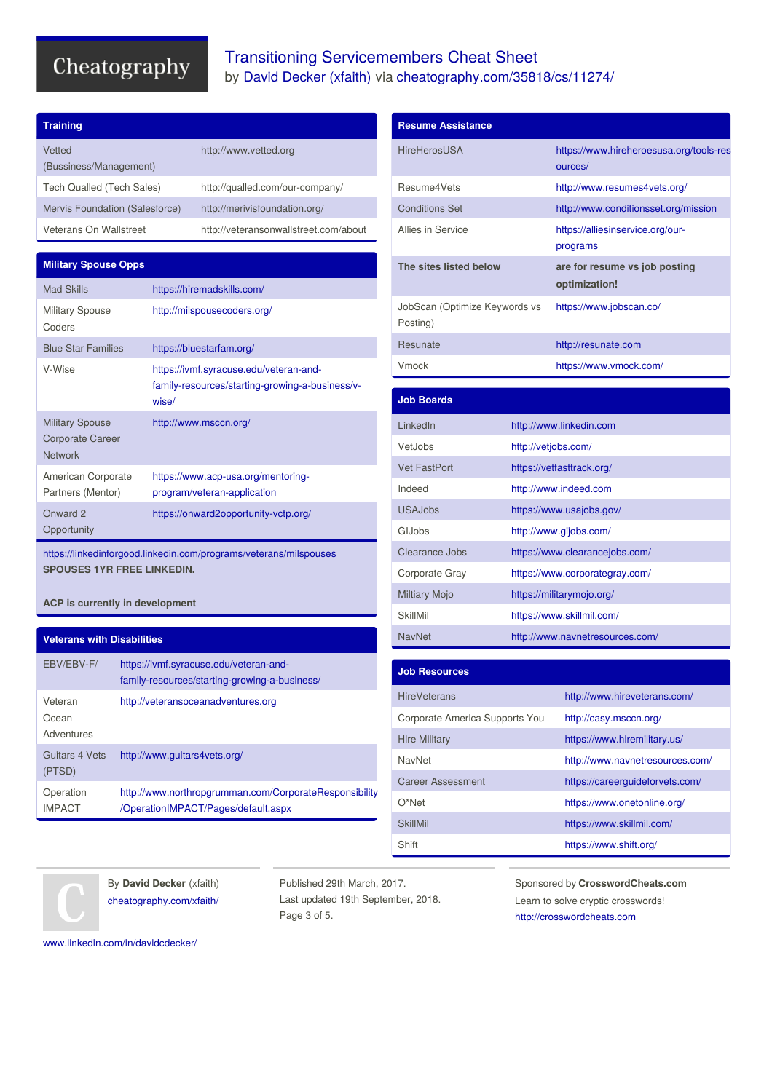**Training**

## Transitioning Servicemembers Cheat Sheet by David [Decker](http://www.cheatography.com/xfaith/) (xfaith) via [cheatography.com/35818/cs/11274/](http://www.cheatography.com/xfaith/cheat-sheets/transitioning-servicemembers)

| Vetted<br>(Bussiness/Management)                                    |                                                                                                    | http://www.vetted.org                                             |
|---------------------------------------------------------------------|----------------------------------------------------------------------------------------------------|-------------------------------------------------------------------|
| Tech Qualled (Tech Sales)                                           |                                                                                                    | http://qualled.com/our-company/                                   |
| Mervis Foundation (Salesforce)                                      |                                                                                                    | http://merivisfoundation.org/                                     |
| Veterans On Wallstreet                                              |                                                                                                    | http://veteransonwallstreet.com/about                             |
|                                                                     |                                                                                                    |                                                                   |
| <b>Military Spouse Opps</b>                                         |                                                                                                    |                                                                   |
| <b>Mad Skills</b>                                                   |                                                                                                    | https://hiremadskills.com/                                        |
| <b>Military Spouse</b><br>Coders                                    | http://milspousecoders.org/                                                                        |                                                                   |
| <b>Blue Star Families</b>                                           | https://bluestarfam.org/                                                                           |                                                                   |
| V-Wise                                                              | https://ivmf.syracuse.edu/veteran-and-<br>family-resources/starting-growing-a-business/v-<br>wise/ |                                                                   |
| <b>Military Spouse</b><br><b>Corporate Career</b><br><b>Network</b> | http://www.msccn.org/                                                                              |                                                                   |
| American Corporate<br>Partners (Mentor)                             |                                                                                                    | https://www.acp-usa.org/mentoring-<br>program/veteran-application |
| Onward 2<br>Opportunity                                             |                                                                                                    | https://onward2opportunity-vctp.org/                              |

<https://linkedinforgood.linkedin.com/programs/veterans/milspouses> **SPOUSES 1YR FREE LINKEDIN.**

**ACP is currently in development**

### **Veterans with Disabilities**

| EBV/EBV-F/                     | https://ivmf.syracuse.edu/veteran-and-<br>family-resources/starting-growing-a-business/       |
|--------------------------------|-----------------------------------------------------------------------------------------------|
| Veteran<br>Ocean<br>Adventures | http://veteransoceanadventures.org                                                            |
| Guitars 4 Vets<br>(PTSD)       | http://www.quitars4vets.org/                                                                  |
| Operation<br><b>IMPACT</b>     | http://www.northropgrumman.com/CorporateResponsibility<br>/OperationIMPACT/Pages/default.aspx |

| <b>Resume Assistance</b>                  |  |                                                    |  |
|-------------------------------------------|--|----------------------------------------------------|--|
| <b>HireHerosUSA</b>                       |  | https://www.hireheroesusa.org/tools-res<br>ources/ |  |
| Resume4Vets                               |  | http://www.resumes4vets.org/                       |  |
| <b>Conditions Set</b>                     |  | http://www.conditionsset.org/mission               |  |
| Allies in Service                         |  | https://alliesinservice.org/our-<br>programs       |  |
| The sites listed below                    |  | are for resume vs job posting<br>optimization!     |  |
| JobScan (Optimize Keywords vs<br>Posting) |  | https://www.jobscan.co/                            |  |
| Resunate                                  |  | http://resunate.com                                |  |
| Vmock                                     |  | https://www.vmock.com/                             |  |
|                                           |  |                                                    |  |
| <b>Job Boards</b>                         |  |                                                    |  |
| LinkedIn                                  |  | http://www.linkedin.com                            |  |
| VetJobs                                   |  | http://vetjobs.com/                                |  |
| <b>Vet FastPort</b>                       |  | https://vetfasttrack.org/                          |  |
| Indeed                                    |  | http://www.indeed.com                              |  |
| <b>USAJobs</b>                            |  | https://www.usajobs.gov/                           |  |
| GIJobs                                    |  | http://www.gijobs.com/                             |  |
| Clearance Jobs                            |  | https://www.clearancejobs.com/                     |  |
| Corporate Gray                            |  | https://www.corporategray.com/                     |  |
| <b>Miltiary Mojo</b>                      |  | https://militarymojo.org/                          |  |
| <b>SkillMil</b>                           |  | https://www.skillmil.com/                          |  |

| <b>Job Resources</b>           |                                 |
|--------------------------------|---------------------------------|
| <b>HireVeterans</b>            | http://www.hireveterans.com/    |
| Corporate America Supports You | http://casy.msccn.org/          |
| <b>Hire Military</b>           | https://www.hiremilitary.us/    |
| NavNet                         | http://www.navnetresources.com/ |
| <b>Career Assessment</b>       | https://careerguideforvets.com/ |
| $O^*$ Net                      | https://www.onetonline.org/     |
| <b>SkillMil</b>                | https://www.skillmil.com/       |
| Shift                          | https://www.shift.org/          |

NavNet <http://www.navnetresources.com/>



By **David Decker** (xfaith) [cheatography.com/xfaith/](http://www.cheatography.com/xfaith/)

Published 29th March, 2017. Last updated 19th September, 2018. Page 3 of 5.

Sponsored by **CrosswordCheats.com** Learn to solve cryptic crosswords! <http://crosswordcheats.com>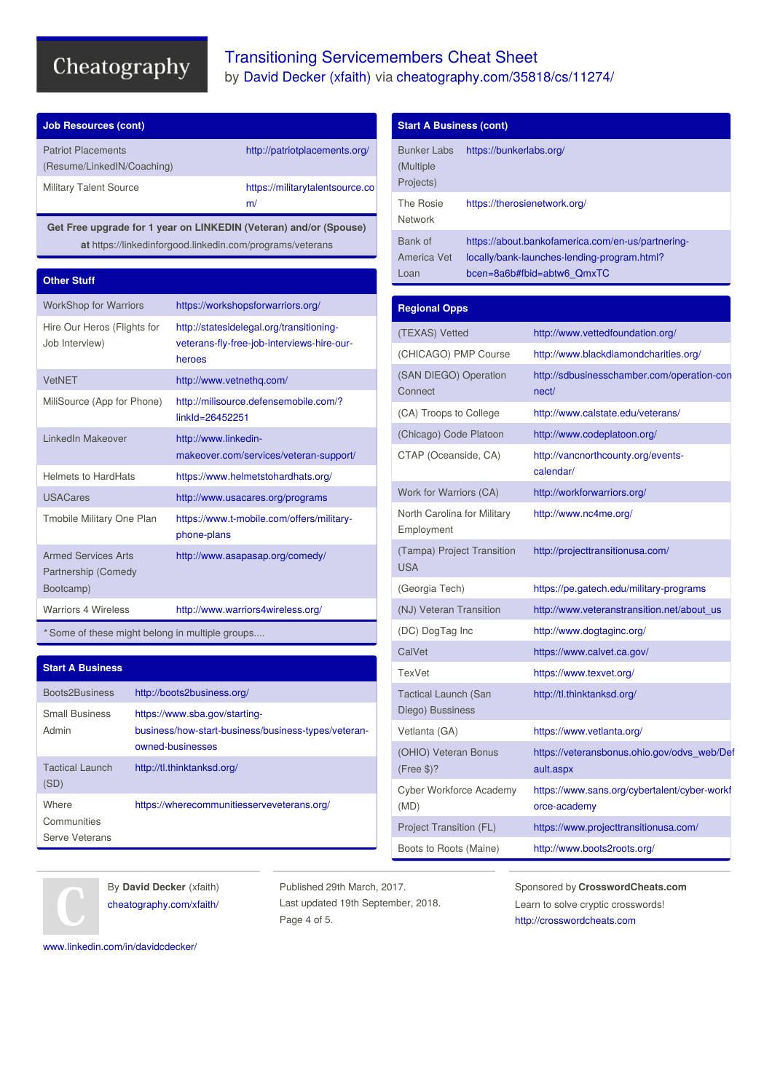## Transitioning Servicemembers Cheat Sheet by David [Decker](http://www.cheatography.com/xfaith/) (xfaith) via [cheatography.com/35818/cs/11274/](http://www.cheatography.com/xfaith/cheat-sheets/transitioning-servicemembers)

| <b>Patriot Placements</b><br>(Resume/LinkedIN/Coaching) | http://patriotplacements.org/         |
|---------------------------------------------------------|---------------------------------------|
| <b>Military Talent Source</b>                           | https://militarytalentsource.co<br>m/ |

**Get Free upgrade for 1 year on LINKEDIN (Veteran) and/or (Spouse) at** https://linkedinforgood.linkedin.com/programs/veterans

#### **Other Stuff**

| <b>WorkShop for Warriors</b>                                   | https://workshopsforwarriors.org/                                                                |
|----------------------------------------------------------------|--------------------------------------------------------------------------------------------------|
| Hire Our Heros (Flights for<br>Job Interview)                  | http://statesidelegal.org/transitioning-<br>veterans-fly-free-job-interviews-hire-our-<br>heroes |
| <b>VetNET</b>                                                  | http://www.vetnethq.com/                                                                         |
| MiliSource (App for Phone)                                     | http://milisource.defensemobile.com/?<br>linkld=26452251                                         |
| LinkedIn Makeover                                              | http://www.linkedin-<br>makeover.com/services/veteran-support/                                   |
| <b>Helmets to HardHats</b>                                     | https://www.helmetstohardhats.org/                                                               |
| <b>USACares</b>                                                | http://www.usacares.org/programs                                                                 |
| Tmobile Military One Plan                                      | https://www.t-mobile.com/offers/military-<br>phone-plans                                         |
| <b>Armed Services Arts</b><br>Partnership (Comedy<br>Bootcamp) | http://www.asapasap.org/comedy/                                                                  |
| <b>Warriors 4 Wireless</b>                                     | http://www.warriors4wireless.org/                                                                |

*\** Some of these might belong in multiple groups....

#### **Start A Business**

| Boots2Business                         | http://boots2business.org/                                                                               |
|----------------------------------------|----------------------------------------------------------------------------------------------------------|
| <b>Small Business</b><br>Admin         | https://www.sba.gov/starting-<br>business/how-start-business/business-types/veteran-<br>owned-businesses |
| <b>Tactical Launch</b><br>(SD)         | http://tl.thinktanksd.org/                                                                               |
| Where<br>Communities<br>Serve Veterans | https://wherecommunitiesserveveterans.org/                                                               |

#### **Start A Business (cont)** Bunker Labs (Multiple Projects) <https://bunkerlabs.org/> The Rosie Network <https://therosienetwork.org/> Bank of America Vet Loan [https://about.bankofamerica.com/en-us/partnering](https://about.bankofamerica.com/en-us/partnering-locally/bank-launches-lending-program.html?bcen=8a6b#fbid=abtw6_QmxTC)locally/bank-launches-lending-program.html? bcen=8a6b#fbid=abtw6\_QmxTC **Regional Opps** (TEXAS) Vetted <http://www.vettedfoundation.org/> (CHICAGO) PMP Course <http://www.blackdiamondcharities.org/> (SAN DIEGO) Operation **Connect** [http://sdbusinesschamber.com/operation-con](http://sdbusinesschamber.com/operation-connect/) nect/ (CA) Troops to College <http://www.calstate.edu/veterans/> (Chicago) Code Platoon <http://www.codeplatoon.org/> CTAP (Oceanside, CA) [http://vancnorthcounty.org/events](http://vancnorthcounty.org/events-calendar/)calendar/ Work for Warriors (CA) <http://workforwarriors.org/> North Carolina for Military Employment <http://www.nc4me.org/> (Tampa) Project Transition USA <http://projecttransitionusa.com/> (Georgia Tech) <https://pe.gatech.edu/military-programs> (NJ) Veteran Transition [http://www.veteranstransition.net/about\\_us](http://www.veteranstransition.net/about_us) (DC) DogTag Inc <http://www.dogtaginc.org/> CalVet **<https://www.calvet.ca.gov/>** TexVet <https://www.texvet.org/> Tactical Launch (San Diego) Bussiness <http://tl.thinktanksd.org/> Vetlanta (GA) <https://www.vetlanta.org/> (OHIO) Veteran Bonus (Free \$)? [https://veteransbonus.ohio.gov/odvs\\_web/Def](https://veteransbonus.ohio.gov/odvs_web/Default.aspx) ault.aspx Cyber Workforce Academy [https://www.sans.org/cybertalent/cyber-workf](https://www.sans.org/cybertalent/cyber-workforce-academy)

By **David Decker** (xfaith) [cheatography.com/xfaith/](http://www.cheatography.com/xfaith/)

Published 29th March, 2017. Last updated 19th September, 2018. Page 4 of 5.

(MD)

Sponsored by **CrosswordCheats.com** Learn to solve cryptic crosswords! <http://crosswordcheats.com>

orce-academy

Project Transition (FL) <https://www.projecttransitionusa.com/>

Boots to Roots (Maine) <http://www.boots2roots.org/>